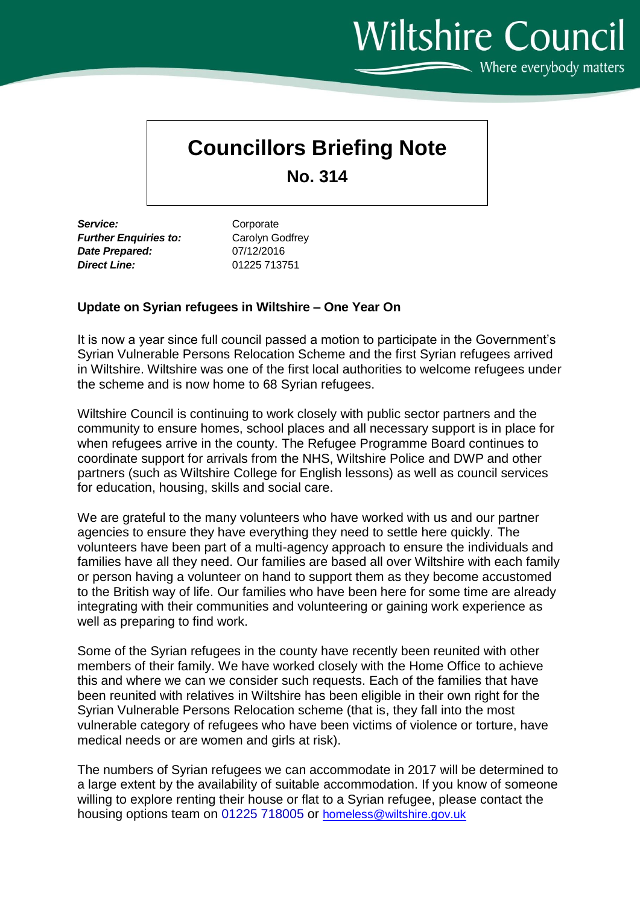**Wiltshire Council**  $\sim$  Where everybody matters

## **Councillors Briefing Note**

**No. 314**

Service: Corporate *Further Enquiries to:* Carolyn Godfrey *Date Prepared:* 07/12/2016 *Direct Line:* 01225 713751

## **Update on Syrian refugees in Wiltshire – One Year On**

It is now a year since full council passed a motion to participate in the Government's Syrian Vulnerable Persons Relocation Scheme and the first Syrian refugees arrived in Wiltshire. Wiltshire was one of the first local authorities to welcome refugees under the scheme and is now home to 68 Syrian refugees.

Wiltshire Council is continuing to work closely with public sector partners and the community to ensure homes, school places and all necessary support is in place for when refugees arrive in the county. The Refugee Programme Board continues to coordinate support for arrivals from the NHS, Wiltshire Police and DWP and other partners (such as Wiltshire College for English lessons) as well as council services for education, housing, skills and social care.

We are grateful to the many volunteers who have worked with us and our partner agencies to ensure they have everything they need to settle here quickly. The volunteers have been part of a multi-agency approach to ensure the individuals and families have all they need. Our families are based all over Wiltshire with each family or person having a volunteer on hand to support them as they become accustomed to the British way of life. Our families who have been here for some time are already integrating with their communities and volunteering or gaining work experience as well as preparing to find work.

Some of the Syrian refugees in the county have recently been reunited with other members of their family. We have worked closely with the Home Office to achieve this and where we can we consider such requests. Each of the families that have been reunited with relatives in Wiltshire has been eligible in their own right for the Syrian Vulnerable Persons Relocation scheme (that is, they fall into the most vulnerable category of refugees who have been victims of violence or torture, have medical needs or are women and girls at risk).

The numbers of Syrian refugees we can accommodate in 2017 will be determined to a large extent by the availability of suitable accommodation. If you know of someone willing to explore renting their house or flat to a Syrian refugee, please contact the housing options team on 01225 718005 or [homeless@wiltshire.gov.uk](mailto:homeless@wiltshire.gov.uk)